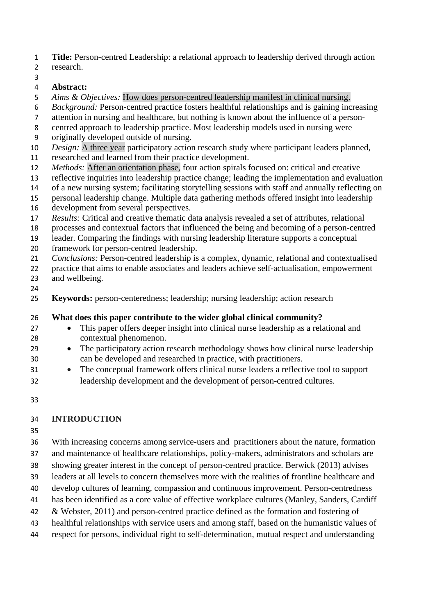- **Title:** Person-centred Leadership: a relational approach to leadership derived through action
- research.
- 
- **Abstract:**
- *Aims & Objectives:* How does person-centred leadership manifest in clinical nursing.
- *Background:* Person-centred practice fosters healthful relationships and is gaining increasing
- attention in nursing and healthcare, but nothing is known about the influence of a person-
- centred approach to leadership practice. Most leadership models used in nursing were
- originally developed outside of nursing.
- *Design:* A three year participatory action research study where participant leaders planned,
- researched and learned from their practice development.
- *Methods:* After an orientation phase, four action spirals focused on: critical and creative
- reflective inquiries into leadership practice change; leading the implementation and evaluation
- of a new nursing system; facilitating storytelling sessions with staff and annually reflecting on
- personal leadership change. Multiple data gathering methods offered insight into leadership
- development from several perspectives.
- *Results:* Critical and creative thematic data analysis revealed a set of attributes, relational
- processes and contextual factors that influenced the being and becoming of a person-centred
- leader. Comparing the findings with nursing leadership literature supports a conceptual
- framework for person-centred leadership.
- *Conclusions:* Person-centred leadership is a complex, dynamic, relational and contextualised
- practice that aims to enable associates and leaders achieve self-actualisation, empowerment
- and wellbeing.
- 
- **Keywords:** person-centeredness; leadership; nursing leadership; action research

## **What does this paper contribute to the wider global clinical community?**

- This paper offers deeper insight into clinical nurse leadership as a relational and contextual phenomenon.
- 29 The participatory action research methodology shows how clinical nurse leadership can be developed and researched in practice, with practitioners.
- The conceptual framework offers clinical nurse leaders a reflective tool to support leadership development and the development of person-centred cultures.
- 

## **INTRODUCTION**

- 
- With increasing concerns among service-users and practitioners about the nature, formation
- and maintenance of healthcare relationships, policy-makers, administrators and scholars are
- showing greater interest in the concept of person-centred practice. Berwick (2013) advises
- leaders at all levels to concern themselves more with the realities of frontline healthcare and
- develop cultures of learning, compassion and continuous improvement. Person-centredness
- has been identified as a core value of effective workplace cultures (Manley, Sanders, Cardiff
- & Webster, 2011) and person-centred practice defined as the formation and fostering of
- healthful relationships with service users and among staff, based on the humanistic values of
- respect for persons, individual right to self-determination, mutual respect and understanding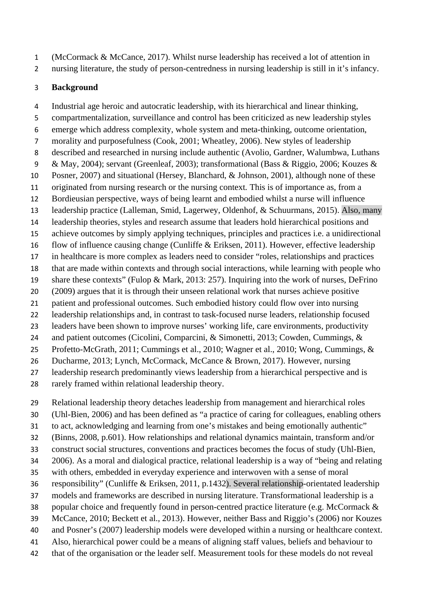- (McCormack & McCance, 2017). Whilst nurse leadership has received a lot of attention in
- nursing literature, the study of person-centredness in nursing leadership is still in it's infancy.

#### **Background**

 Industrial age heroic and autocratic leadership, with its hierarchical and linear thinking, compartmentalization, surveillance and control has been criticized as new leadership styles emerge which address complexity, whole system and meta-thinking, outcome orientation, morality and purposefulness (Cook, 2001; Wheatley, 2006). New styles of leadership described and researched in nursing include authentic (Avolio, Gardner, Walumbwa, Luthans & May, 2004); servant (Greenleaf, 2003); transformational (Bass & Riggio, 2006; Kouzes & Posner, 2007) and situational (Hersey, Blanchard, & Johnson, 2001), although none of these originated from nursing research or the nursing context*.* This is of importance as, from a Bordieusian perspective, ways of being learnt and embodied whilst a nurse will influence leadership practice (Lalleman, Smid, Lagerwey, Oldenhof, & Schuurmans, 2015). Also, many leadership theories, styles and research assume that leaders hold hierarchical positions and achieve outcomes by simply applying techniques, principles and practices i.e. a unidirectional flow of influence causing change (Cunliffe & Eriksen, 2011). However, effective leadership in healthcare is more complex as leaders need to consider "roles, relationships and practices that are made within contexts and through social interactions, while learning with people who share these contexts" (Fulop & Mark, 2013: 257). Inquiring into the work of nurses, DeFrino (2009) argues that it is through their unseen relational work that nurses achieve positive patient and professional outcomes. Such embodied history could flow over into nursing leadership relationships and, in contrast to task-focused nurse leaders, relationship focused leaders have been shown to improve nurses' working life, care environments, productivity and patient outcomes (Cicolini, Comparcini, & Simonetti, 2013; Cowden, Cummings, & Profetto-McGrath, 2011; Cummings et al., 2010; Wagner et al., 2010; Wong, Cummings, & Ducharme, 2013; Lynch, McCormack, McCance & Brown, 2017). However, nursing leadership research predominantly views leadership from a hierarchical perspective and is rarely framed within relational leadership theory.

 Relational leadership theory detaches leadership from management and hierarchical roles (Uhl-Bien, 2006) and has been defined as "a practice of caring for colleagues, enabling others to act, acknowledging and learning from one's mistakes and being emotionally authentic" (Binns, 2008, p.601). How relationships and relational dynamics maintain, transform and/or construct social structures, conventions and practices becomes the focus of study (Uhl-Bien, 2006). As a moral and dialogical practice, relational leadership is a way of "being and relating with others, embedded in everyday experience and interwoven with a sense of moral responsibility" (Cunliffe & Eriksen, 2011, p.1432). Several relationship-orientated leadership models and frameworks are described in nursing literature. Transformational leadership is a popular choice and frequently found in person-centred practice literature (e.g. McCormack & McCance, 2010; Beckett et al., 2013). However, neither Bass and Riggio's (2006) nor Kouzes and Posner's (2007) leadership models were developed within a nursing or healthcare context. Also, hierarchical power could be a means of aligning staff values, beliefs and behaviour to that of the organisation or the leader self. Measurement tools for these models do not reveal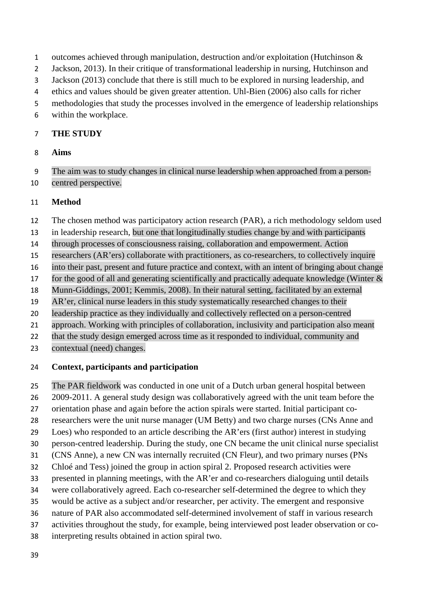- outcomes achieved through manipulation, destruction and/or exploitation (Hutchinson &
- Jackson, 2013). In their critique of transformational leadership in nursing, Hutchinson and
- Jackson (2013) conclude that there is still much to be explored in nursing leadership, and
- ethics and values should be given greater attention. Uhl-Bien (2006) also calls for richer
- methodologies that study the processes involved in the emergence of leadership relationships
- within the workplace.

# **THE STUDY**

## **Aims**

 The aim was to study changes in clinical nurse leadership when approached from a person-centred perspective.

# **Method**

- The chosen method was participatory action research (PAR), a rich methodology seldom used
- in leadership research, but one that longitudinally studies change by and with participants
- through processes of consciousness raising, collaboration and empowerment. Action
- researchers (AR'ers) collaborate with practitioners, as co-researchers, to collectively inquire
- into their past, present and future practice and context, with an intent of bringing about change
- 17 for the good of all and generating scientifically and practically adequate knowledge (Winter  $\&$
- Munn-Giddings, 2001; Kemmis, 2008). In their natural setting, facilitated by an external
- AR'er, clinical nurse leaders in this study systematically researched changes to their
- leadership practice as they individually and collectively reflected on a person-centred
- approach. Working with principles of collaboration, inclusivity and participation also meant
- that the study design emerged across time as it responded to individual, community and
- contextual (need) changes.

# **Context, participants and participation**

- The PAR fieldwork was conducted in one unit of a Dutch urban general hospital between
- 2009-2011. A general study design was collaboratively agreed with the unit team before the
- orientation phase and again before the action spirals were started. Initial participant co-
- researchers were the unit nurse manager (UM Betty) and two charge nurses (CNs Anne and
- Loes) who responded to an article describing the AR'ers (first author) interest in studying
- person-centred leadership. During the study, one CN became the unit clinical nurse specialist
- (CNS Anne), a new CN was internally recruited (CN Fleur), and two primary nurses (PNs
- Chloé and Tess) joined the group in action spiral 2. Proposed research activities were
- presented in planning meetings, with the AR'er and co-researchers dialoguing until details
- were collaboratively agreed. Each co-researcher self-determined the degree to which they
- would be active as a subject and/or researcher, per activity. The emergent and responsive
- nature of PAR also accommodated self-determined involvement of staff in various research
- activities throughout the study, for example, being interviewed post leader observation or co-
- interpreting results obtained in action spiral two.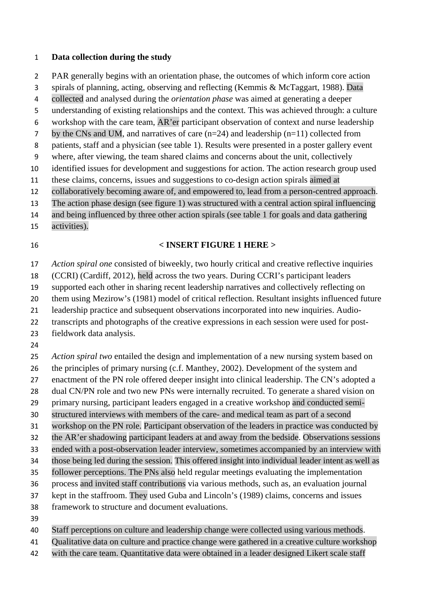#### **Data collection during the study**

PAR generally begins with an orientation phase, the outcomes of which inform core action

- spirals of planning, acting, observing and reflecting (Kemmis & McTaggart, 1988). Data
- collected and analysed during the *orientation phase* was aimed at generating a deeper
- understanding of existing relationships and the context. This was achieved through: a culture
- workshop with the care team, AR'er participant observation of context and nurse leadership
- 7 by the CNs and UM, and narratives of care  $(n=24)$  and leadership  $(n=11)$  collected from
- patients, staff and a physician (see table 1). Results were presented in a poster gallery event
- where, after viewing, the team shared claims and concerns about the unit, collectively
- identified issues for development and suggestions for action. The action research group used
- these claims, concerns, issues and suggestions to co-design action spirals aimed at
- collaboratively becoming aware of, and empowered to, lead from a person-centred approach.
- The action phase design (see figure 1) was structured with a central action spiral influencing
- and being influenced by three other action spirals (see table 1 for goals and data gathering
- activities).

## **< INSERT FIGURE 1 HERE >**

*Action spiral one* consisted of biweekly, two hourly critical and creative reflective inquiries

- (CCRI) (Cardiff, 2012), held across the two years. During CCRI's participant leaders
- supported each other in sharing recent leadership narratives and collectively reflecting on
- them using Mezirow's (1981) model of critical reflection. Resultant insights influenced future
- leadership practice and subsequent observations incorporated into new inquiries. Audio-
- transcripts and photographs of the creative expressions in each session were used for post-
- fieldwork data analysis.
- 
- *Action spiral two* entailed the design and implementation of a new nursing system based on
- the principles of primary nursing (c.f. Manthey, 2002). Development of the system and
- enactment of the PN role offered deeper insight into clinical leadership. The CN's adopted a
- dual CN/PN role and two new PNs were internally recruited. To generate a shared vision on
- primary nursing, participant leaders engaged in a creative workshop and conducted semi-
- structured interviews with members of the care- and medical team as part of a second
- workshop on the PN role. Participant observation of the leaders in practice was conducted by
- the AR'er shadowing participant leaders at and away from the bedside. Observations sessions
- ended with a post-observation leader interview, sometimes accompanied by an interview with
- those being led during the session. This offered insight into individual leader intent as well as
- follower perceptions. The PNs also held regular meetings evaluating the implementation
- process and invited staff contributions via various methods, such as, an evaluation journal
- kept in the staffroom. They used Guba and Lincoln's (1989) claims, concerns and issues
- framework to structure and document evaluations.
- 
- Staff perceptions on culture and leadership change were collected using various methods.
- Qualitative data on culture and practice change were gathered in a creative culture workshop
- 42 with the care team. Quantitative data were obtained in a leader designed Likert scale staff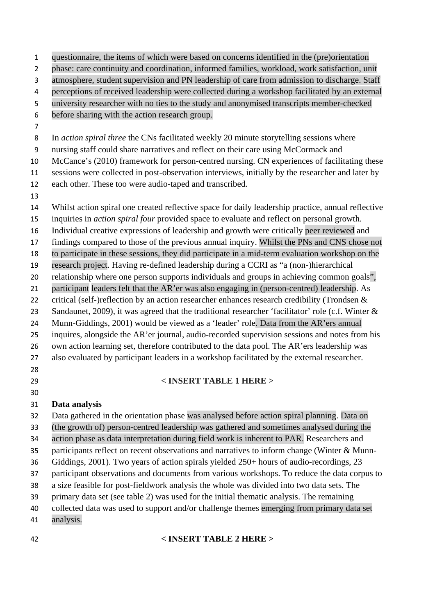- questionnaire, the items of which were based on concerns identified in the (pre)orientation
- phase: care continuity and coordination, informed families, workload, work satisfaction, unit
- atmosphere, student supervision and PN leadership of care from admission to discharge. Staff
- perceptions of received leadership were collected during a workshop facilitated by an external
- university researcher with no ties to the study and anonymised transcripts member-checked
- before sharing with the action research group.
- 

In *action spiral three* the CNs facilitated weekly 20 minute storytelling sessions where

nursing staff could share narratives and reflect on their care using McCormack and

McCance's (2010) framework for person-centred nursing. CN experiences of facilitating these

- sessions were collected in post-observation interviews, initially by the researcher and later by
- each other. These too were audio-taped and transcribed.
- 

 Whilst action spiral one created reflective space for daily leadership practice, annual reflective inquiries in *action spiral four* provided space to evaluate and reflect on personal growth. Individual creative expressions of leadership and growth were critically peer reviewed and

17 findings compared to those of the previous annual inquiry. Whilst the PNs and CNS chose not

to participate in these sessions, they did participate in a mid-term evaluation workshop on the

research project. Having re-defined leadership during a CCRI as "a (non-)hierarchical

relationship where one person supports individuals and groups in achieving common goals",

participant leaders felt that the AR'er was also engaging in (person-centred) leadership. As

 critical (self-)reflection by an action researcher enhances research credibility (Trondsen & 23 Sandaunet, 2009), it was agreed that the traditional researcher 'facilitator' role (c.f. Winter &

Munn-Giddings, 2001) would be viewed as a 'leader' role. Data from the AR'ers annual

inquires, alongside the AR'er journal, audio-recorded supervision sessions and notes from his

own action learning set, therefore contributed to the data pool. The AR'ers leadership was

also evaluated by participant leaders in a workshop facilitated by the external researcher.

# **< INSERT TABLE 1 HERE >**

# **Data analysis**

Data gathered in the orientation phase was analysed before action spiral planning. Data on

(the growth of) person-centred leadership was gathered and sometimes analysed during the

action phase as data interpretation during field work is inherent to PAR. Researchers and

35 participants reflect on recent observations and narratives to inform change (Winter & Munn-

Giddings, 2001). Two years of action spirals yielded 250+ hours of audio-recordings, 23

participant observations and documents from various workshops. To reduce the data corpus to

a size feasible for post-fieldwork analysis the whole was divided into two data sets. The

 primary data set (see table 2) was used for the initial thematic analysis. The remaining collected data was used to support and/or challenge themes emerging from primary data set

analysis.

**< INSERT TABLE 2 HERE >**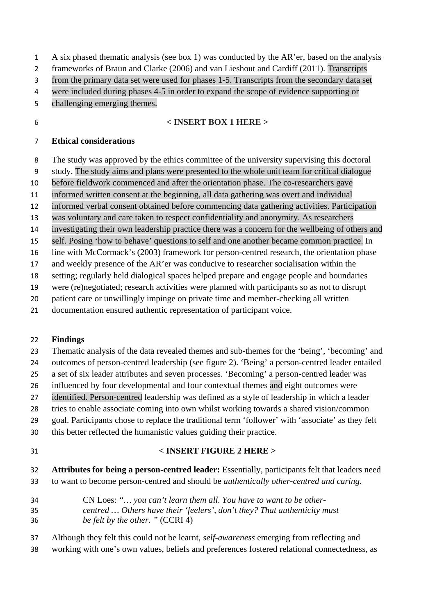- A six phased thematic analysis (see box 1) was conducted by the AR'er, based on the analysis
- frameworks of Braun and Clarke (2006) and van Lieshout and Cardiff (2011). Transcripts
- from the primary data set were used for phases 1-5. Transcripts from the secondary data set
- were included during phases 4-5 in order to expand the scope of evidence supporting or
- challenging emerging themes.
- 

#### **< INSERT BOX 1 HERE >**

#### **Ethical considerations**

- The study was approved by the ethics committee of the university supervising this doctoral
- study. The study aims and plans were presented to the whole unit team for critical dialogue
- before fieldwork commenced and after the orientation phase. The co-researchers gave
- informed written consent at the beginning, all data gathering was overt and individual
- informed verbal consent obtained before commencing data gathering activities. Participation
- was voluntary and care taken to respect confidentiality and anonymity. As researchers
- investigating their own leadership practice there was a concern for the wellbeing of others and
- self. Posing 'how to behave' questions to self and one another became common practice. In
- line with McCormack's (2003) framework for person-centred research, the orientation phase
- and weekly presence of the AR'er was conducive to researcher socialisation within the
- setting; regularly held dialogical spaces helped prepare and engage people and boundaries
- were (re)negotiated; research activities were planned with participants so as not to disrupt
- patient care or unwillingly impinge on private time and member-checking all written
- documentation ensured authentic representation of participant voice.

## **Findings**

- Thematic analysis of the data revealed themes and sub-themes for the 'being', 'becoming' and
- outcomes of person-centred leadership (see figure 2). 'Being' a person-centred leader entailed
- a set of six leader attributes and seven processes. 'Becoming' a person-centred leader was
- influenced by four developmental and four contextual themes and eight outcomes were
- identified. Person-centred leadership was defined as a style of leadership in which a leader
- tries to enable associate coming into own whilst working towards a shared vision/common
- goal. Participants chose to replace the traditional term 'follower' with 'associate' as they felt
- this better reflected the humanistic values guiding their practice.
- 

# **< INSERT FIGURE 2 HERE >**

 **Attributes for being a person-centred leader:** Essentially, participants felt that leaders need to want to become person-centred and should be *authentically other-centred and caring.*

- CN Loes: *"… you can't learn them all. You have to want to be other- centred … Others have their 'feelers', don't they? That authenticity must be felt by the other. "* (CCRI 4)
- Although they felt this could not be learnt, *self-awareness* emerging from reflecting and
- working with one's own values, beliefs and preferences fostered relational connectedness, as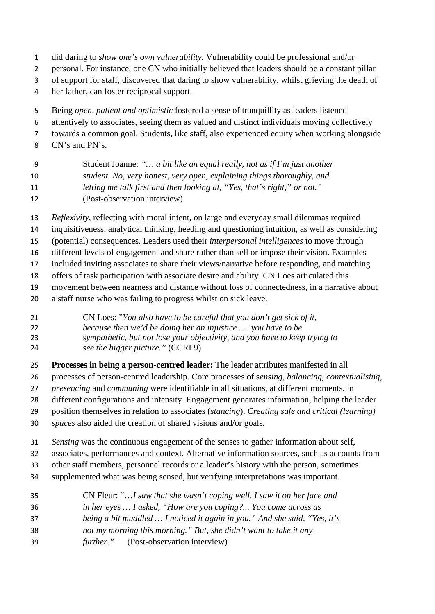- did daring to *show one's own vulnerability.* Vulnerability could be professional and/or
- personal. For instance, one CN who initially believed that leaders should be a constant pillar
- of support for staff, discovered that daring to show vulnerability, whilst grieving the death of
- her father, can foster reciprocal support.
- Being *open, patient and optimistic* fostered a sense of tranquillity as leaders listened
- attentively to associates, seeing them as valued and distinct individuals moving collectively
- towards a common goal. Students, like staff, also experienced equity when working alongside
- CN's and PN's.
- Student Joanne*: "… a bit like an equal really, not as if I'm just another student. No, very honest, very open, explaining things thoroughly, and letting me talk first and then looking at, "Yes, that's right," or not."*  (Post-observation interview)
- *Reflexivity*, reflecting with moral intent, on large and everyday small dilemmas required
- inquisitiveness, analytical thinking, heeding and questioning intuition, as well as considering
- (potential) consequences. Leaders used their *interpersonal intelligences* to move through
- different levels of engagement and share rather than sell or impose their vision. Examples
- included inviting associates to share their views/narrative before responding, and matching
- offers of task participation with associate desire and ability. CN Loes articulated this
- movement between nearness and distance without loss of connectedness, in a narrative about
- a staff nurse who was failing to progress whilst on sick leave.
- CN Loes: "*You also have to be careful that you don't get sick of it, because then we'd be doing her an injustice … you have to be sympathetic, but not lose your objectivity, and you have to keep trying to*
- *see the bigger picture."* (CCRI 9)
- **Processes in being a person-centred leader:** The leader attributes manifested in all
- processes of person-centred leadership. Core processes of s*ensing, balancing, contextualising,*
- *presencing* and *communing* were identifiable in all situations, at different moments, in
- different configurations and intensity. Engagement generates information, helping the leader
- position themselves in relation to associates (*stancing*). *Creating safe and critical (learning)*
- *spaces* also aided the creation of shared visions and/or goals.
- *Sensing* was the continuous engagement of the senses to gather information about self,
- associates, performances and context. Alternative information sources, such as accounts from
- other staff members, personnel records or a leader's history with the person, sometimes
- supplemented what was being sensed, but verifying interpretations was important.
- CN Fleur: "…*I saw that she wasn't coping well. I saw it on her face and*
- *in her eyes … I asked, "How are you coping?... You come across as*
- *being a bit muddled … I noticed it again in you." And she said, "Yes, it's*
- *not my morning this morning." But, she didn't want to take it any*
- *further."* (Post-observation interview)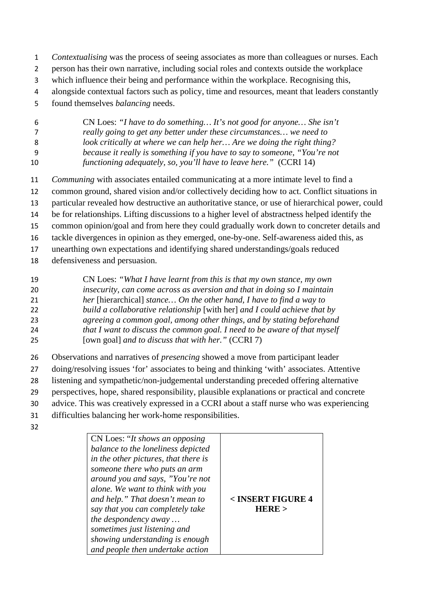- *Contextualising* was the process of seeing associates as more than colleagues or nurses. Each
- person has their own narrative, including social roles and contexts outside the workplace
- which influence their being and performance within the workplace. Recognising this,
- alongside contextual factors such as policy, time and resources, meant that leaders constantly
- found themselves *balancing* needs.
- CN Loes: *"I have to do something… It's not good for anyone… She isn't really going to get any better under these circumstances… we need to look critically at where we can help her… Are we doing the right thing? because it really is something if you have to say to someone, "You're not functioning adequately, so, you'll have to leave here."* (CCRI 14)
- *Communing* with associates entailed communicating at a more intimate level to find a
- common ground, shared vision and/or collectively deciding how to act. Conflict situations in
- particular revealed how destructive an authoritative stance, or use of hierarchical power, could
- be for relationships. Lifting discussions to a higher level of abstractness helped identify the
- common opinion/goal and from here they could gradually work down to concreter details and
- tackle divergences in opinion as they emerged, one-by-one. Self-awareness aided this, as
- unearthing own expectations and identifying shared understandings/goals reduced
- defensiveness and persuasion.
- CN Loes: *"What I have learnt from this is that my own stance, my own insecurity, can come across as aversion and that in doing so I maintain her* [hierarchical] *stance… On the other hand, I have to find a way to build a collaborative relationship* [with her] *and I could achieve that by agreeing a common goal, among other things, and by stating beforehand that I want to discuss the common goal. I need to be aware of that myself*  [own goal] *and to discuss that with her."* (CCRI 7)
- Observations and narratives of *presencing* showed a move from participant leader
- doing/resolving issues 'for' associates to being and thinking 'with' associates. Attentive
- listening and sympathetic/non-judgemental understanding preceded offering alternative
- perspectives, hope, shared responsibility, plausible explanations or practical and concrete
- advice. This was creatively expressed in a CCRI about a staff nurse who was experiencing
- difficulties balancing her work-home responsibilities.
-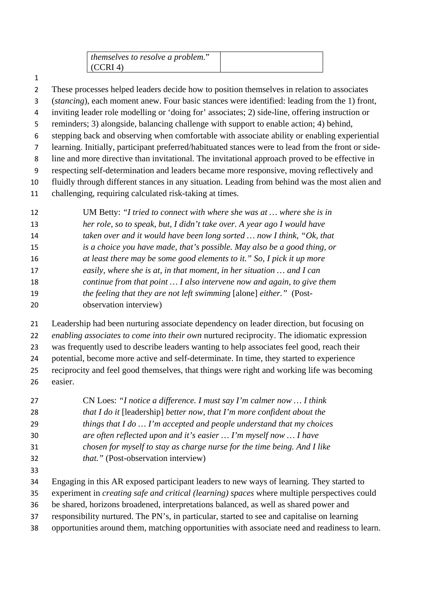*themselves to resolve a problem.*" (CCRI 4)

- 
- These processes helped leaders decide how to position themselves in relation to associates
- (*stancing*), each moment anew. Four basic stances were identified: leading from the 1) front,
- inviting leader role modelling or 'doing for' associates; 2) side-line, offering instruction or
- reminders; 3) alongside, balancing challenge with support to enable action; 4) behind,
- stepping back and observing when comfortable with associate ability or enabling experiential
- learning. Initially, participant preferred/habituated stances were to lead from the front or side-
- line and more directive than invitational. The invitational approach proved to be effective in
- respecting self-determination and leaders became more responsive, moving reflectively and
- fluidly through different stances in any situation. Leading from behind was the most alien and
- challenging, requiring calculated risk-taking at times.
- UM Betty: *"I tried to connect with where she was at … where she is in her role, so to speak, but, I didn't take over. A year ago I would have taken over and it would have been long sorted … now I think, "Ok, that is a choice you have made, that's possible. May also be a good thing, or at least there may be some good elements to it." So, I pick it up more easily, where she is at, in that moment, in her situation … and I can continue from that point … I also intervene now and again, to give them the feeling that they are not left swimming* [alone] *either."* (Post-observation interview)
- Leadership had been nurturing associate dependency on leader direction, but focusing on *enabling associates to come into their own* nurtured reciprocity. The idiomatic expression was frequently used to describe leaders wanting to help associates feel good, reach their potential, become more active and self-determinate. In time, they started to experience reciprocity and feel good themselves, that things were right and working life was becoming easier.
- CN Loes: *"I notice a difference. I must say I'm calmer now … I think that I do it* [leadership] *better now, that I'm more confident about the things that I do … I'm accepted and people understand that my choices are often reflected upon and it's easier … I'm myself now … I have chosen for myself to stay as charge nurse for the time being. And I like that."* (Post-observation interview)
- 
- Engaging in this AR exposed participant leaders to new ways of learning. They started to
- experiment in *creating safe and critical (learning) spaces* where multiple perspectives could
- be shared, horizons broadened, interpretations balanced, as well as shared power and
- responsibility nurtured. The PN's, in particular, started to see and capitalise on learning
- opportunities around them, matching opportunities with associate need and readiness to learn.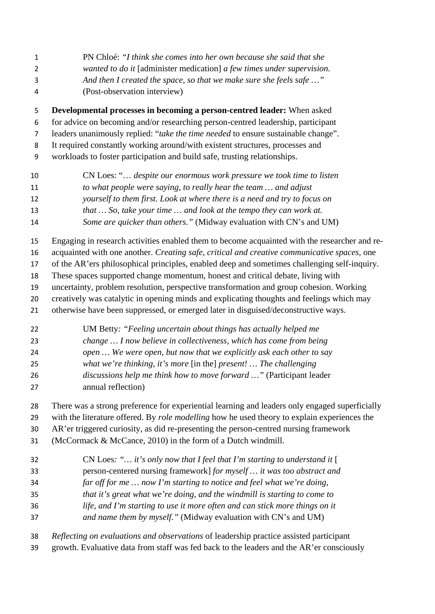PN Chloé: *"I think she comes into her own because she said that she wanted to do it* [administer medication] *a few times under supervision. And then I created the space, so that we make sure she feels safe …"*  (Post-observation interview)

**Developmental processes in becoming a person-centred leader:** When asked

- for advice on becoming and/or researching person-centred leadership, participant
- leaders unanimously replied: "*take the time needed* to ensure sustainable change".
- It required constantly working around/with existent structures, processes and
- workloads to foster participation and build safe, trusting relationships.
- CN Loes: "… *despite our enormous work pressure we took time to listen to what people were saying, to really hear the team … and adjust yourself to them first. Look at where there is a need and try to focus on that … So, take your time … and look at the tempo they can work at.*
- *Some are quicker than others."* (Midway evaluation with CN's and UM)
- Engaging in research activities enabled them to become acquainted with the researcher and re-
- acquainted with one another. *Creating safe, critical and creative communicative spaces,* one
- of the AR'ers philosophical principles, enabled deep and sometimes challenging self-inquiry.
- These spaces supported change momentum, honest and critical debate, living with
- uncertainty, problem resolution, perspective transformation and group cohesion. Working
- creatively was catalytic in opening minds and explicating thoughts and feelings which may
- otherwise have been suppressed, or emerged later in disguised/deconstructive ways.
- UM Betty*: "Feeling uncertain about things has actually helped me change … I now believe in collectiveness, which has come from being*
- *open … We were open, but now that we explicitly ask each other to say*
- *what we're thinking, it's more* [in the] *present! … The challenging*
- *discussions help me think how to move forward …"* (Participant leader
- annual reflection)
- There was a strong preference for experiential learning and leaders only engaged superficially
- with the literature offered. By *role modelling* how he used theory to explain experiences the
- AR'er triggered curiosity, as did re-presenting the person-centred nursing framework
- (McCormack & McCance, 2010) in the form of a Dutch windmill.
- CN Loes*: "… it's only now that I feel that I'm starting to understand it* [ person-centered nursing framework] *for myself … it was too abstract and far off for me … now I'm starting to notice and feel what we're doing, that it's great what we're doing, and the windmill is starting to come to life, and I'm starting to use it more often and can stick more things on it and name them by myself."* (Midway evaluation with CN's and UM)
- *Reflecting on evaluations and observations* of leadership practice assisted participant
- growth. Evaluative data from staff was fed back to the leaders and the AR'er consciously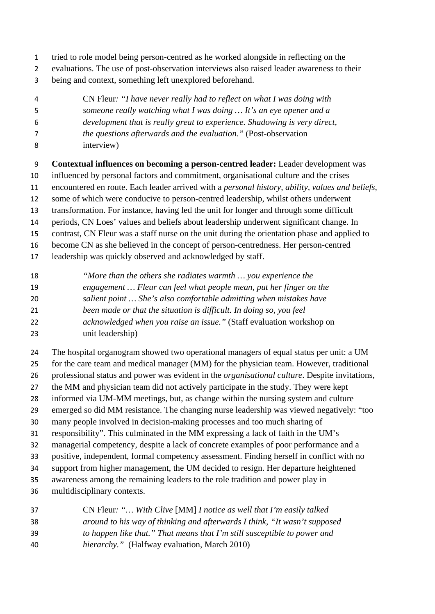tried to role model being person-centred as he worked alongside in reflecting on the

evaluations. The use of post-observation interviews also raised leader awareness to their

being and context, something left unexplored beforehand.

 CN Fleur*: "I have never really had to reflect on what I was doing with someone really watching what I was doing … It's an eye opener and a development that is really great to experience. Shadowing is very direct, the questions afterwards and the evaluation."* (Post-observation

interview)

**Contextual influences on becoming a person-centred leader:** Leader development was

influenced by personal factors and commitment, organisational culture and the crises

encountered en route. Each leader arrived with a *personal history, ability, values and beliefs*,

some of which were conducive to person-centred leadership, whilst others underwent

transformation. For instance, having led the unit for longer and through some difficult

periods, CN Loes' values and beliefs about leadership underwent significant change. In

contrast, CN Fleur was a staff nurse on the unit during the orientation phase and applied to

become CN as she believed in the concept of person-centredness. Her person-centred

leadership was quickly observed and acknowledged by staff.

 *"More than the others she radiates warmth … you experience the engagement … Fleur can feel what people mean, put her finger on the salient point … She's also comfortable admitting when mistakes have been made or that the situation is difficult. In doing so, you feel acknowledged when you raise an issue."* (Staff evaluation workshop on unit leadership)

The hospital organogram showed two operational managers of equal status per unit: a UM

for the care team and medical manager (MM) for the physician team. However, traditional

professional status and power was evident in the *organisational culture*. Despite invitations,

the MM and physician team did not actively participate in the study. They were kept

informed via UM-MM meetings, but, as change within the nursing system and culture

emerged so did MM resistance. The changing nurse leadership was viewed negatively: "too

many people involved in decision-making processes and too much sharing of

responsibility". This culminated in the MM expressing a lack of faith in the UM's

managerial competency, despite a lack of concrete examples of poor performance and a

positive, independent, formal competency assessment. Finding herself in conflict with no

support from higher management, the UM decided to resign. Her departure heightened

 awareness among the remaining leaders to the role tradition and power play in multidisciplinary contexts.

 CN Fleur*: "… With Clive* [MM] *I notice as well that I'm easily talked around to his way of thinking and afterwards I think, "It wasn't supposed to happen like that." That means that I'm still susceptible to power and* 

*hierarchy."* (Halfway evaluation, March 2010)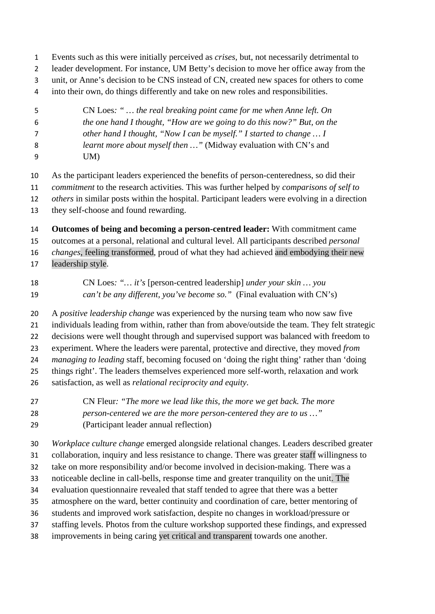- Events such as this were initially perceived as *crises,* but, not necessarily detrimental to
- leader development. For instance, UM Betty's decision to move her office away from the unit, or Anne's decision to be CNS instead of CN, created new spaces for others to come
- into their own, do things differently and take on new roles and responsibilities.
- CN Loes*: " … the real breaking point came for me when Anne left. On the one hand I thought, "How are we going to do this now?" But, on the other hand I thought, "Now I can be myself." I started to change … I learnt more about myself then …"* (Midway evaluation with CN's and UM)
- As the participant leaders experienced the benefits of person-centeredness, so did their *commitment* to the research activities*.* This was further helped by *comparisons of self to others* in similar posts within the hospital. Participant leaders were evolving in a direction they self-choose and found rewarding.
- **Outcomes of being and becoming a person-centred leader:** With commitment came
- outcomes at a personal, relational and cultural level. All participants described *personal*
- *changes*, feeling transformed, proud of what they had achieved and embodying their new
- leadership style.
- CN Loes*: "… it's* [person-centred leadership] *under your skin … you can't be any different, you've become so."* (Final evaluation with CN's)
- A *positive leadership change* was experienced by the nursing team who now saw five
- 21 individuals leading from within, rather than from above/outside the team. They felt strategic
- decisions were well thought through and supervised support was balanced with freedom to
- experiment. Where the leaders were parental, protective and directive, they moved *from*
- *managing to leading* staff, becoming focused on 'doing the right thing' rather than 'doing
- things right'. The leaders themselves experienced more self-worth, relaxation and work
- satisfaction, as well as *relational reciprocity and equity*.
- CN Fleur*: "The more we lead like this, the more we get back. The more person-centered we are the more person-centered they are to us …"*  (Participant leader annual reflection)
- *Workplace culture change* emerged alongside relational changes. Leaders described greater
- collaboration, inquiry and less resistance to change. There was greater staff willingness to
- take on more responsibility and/or become involved in decision-making. There was a noticeable decline in call-bells, response time and greater tranquility on the unit. The
- evaluation questionnaire revealed that staff tended to agree that there was a better
- atmosphere on the ward, better continuity and coordination of care, better mentoring of
- students and improved work satisfaction, despite no changes in workload/pressure or
- staffing levels. Photos from the culture workshop supported these findings, and expressed
- improvements in being caring yet critical and transparent towards one another.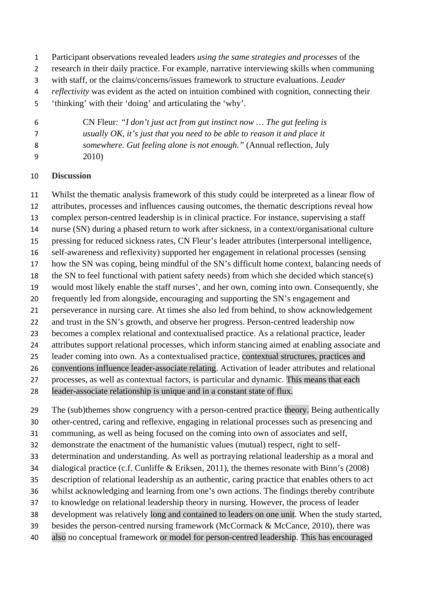- Participant observations revealed leaders *using the same strategies and processes* of the
- research in their daily practice. For example, narrative interviewing skills when communing
- with staff, or the claims/concerns/issues framework to structure evaluations. *Leader*
- *reflectivity* was evident as the acted on intuition combined with cognition, connecting their
- 'thinking' with their 'doing' and articulating the 'why'.
- CN Fleur*: "I don't just act from gut instinct now … The gut feeling is usually OK, it's just that you need to be able to reason it and place it somewhere. Gut feeling alone is not enough."* (Annual reflection, July 2010)

#### **Discussion**

 Whilst the thematic analysis framework of this study could be interpreted as a linear flow of attributes, processes and influences causing outcomes, the thematic descriptions reveal how complex person-centred leadership is in clinical practice. For instance, supervising a staff nurse (SN) during a phased return to work after sickness, in a context/organisational culture pressing for reduced sickness rates, CN Fleur's leader attributes (interpersonal intelligence, self-awareness and reflexivity) supported her engagement in relational processes (sensing how the SN was coping, being mindful of the SN's difficult home context, balancing needs of the SN to feel functional with patient safety needs) from which she decided which stance(s) would most likely enable the staff nurses', and her own, coming into own. Consequently, she frequently led from alongside, encouraging and supporting the SN's engagement and perseverance in nursing care. At times she also led from behind, to show acknowledgement and trust in the SN's growth, and observe her progress. Person-centred leadership now becomes a complex relational and contextualised practice. As a relational practice, leader attributes support relational processes, which inform stancing aimed at enabling associate and leader coming into own. As a contextualised practice, contextual structures, practices and conventions influence leader-associate relating. Activation of leader attributes and relational processes, as well as contextual factors, is particular and dynamic. This means that each leader-associate relationship is unique and in a constant state of flux. 29 The (sub)themes show congruency with a person-centred practice theory. Being authentically

- 
- other-centred, caring and reflexive, engaging in relational processes such as presencing and
- communing, as well as being focused on the coming into own of associates and self,
- demonstrate the enactment of the humanistic values (mutual) respect, right to self-
- determination and understanding. As well as portraying relational leadership as a moral and
- dialogical practice (c.f. Cunliffe & Eriksen, 2011), the themes resonate with Binn's (2008)
- description of relational leadership as an authentic, caring practice that enables others to act whilst acknowledging and learning from one's own actions. The findings thereby contribute
- to knowledge on relational leadership theory in nursing. However, the process of leader
- development was relatively long and contained to leaders on one unit. When the study started,
- besides the person-centred nursing framework (McCormack & McCance, 2010), there was
- also no conceptual framework or model for person-centred leadership. This has encouraged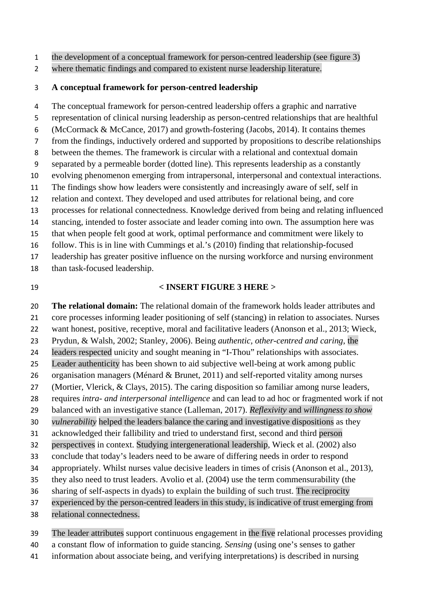- the development of a conceptual framework for person-centred leadership (see figure 3)
- where thematic findings and compared to existent nurse leadership literature.

#### **A conceptual framework for person-centred leadership**

 The conceptual framework for person-centred leadership offers a graphic and narrative representation of clinical nursing leadership as person-centred relationships that are healthful (McCormack & McCance, 2017) and growth-fostering (Jacobs, 2014). It contains themes from the findings, inductively ordered and supported by propositions to describe relationships between the themes. The framework is circular with a relational and contextual domain separated by a permeable border (dotted line). This represents leadership as a constantly evolving phenomenon emerging from intrapersonal, interpersonal and contextual interactions. The findings show how leaders were consistently and increasingly aware of self, self in relation and context. They developed and used attributes for relational being, and core processes for relational connectedness. Knowledge derived from being and relating influenced stancing, intended to foster associate and leader coming into own. The assumption here was that when people felt good at work, optimal performance and commitment were likely to follow. This is in line with Cummings et al.'s (2010) finding that relationship-focused leadership has greater positive influence on the nursing workforce and nursing environment than task-focused leadership.

#### **< INSERT FIGURE 3 HERE >**

 **The relational domain:** The relational domain of the framework holds leader attributes and core processes informing leader positioning of self (stancing) in relation to associates. Nurses want honest, positive, receptive, moral and facilitative leaders (Anonson et al., 2013; Wieck, Prydun, & Walsh, 2002; Stanley, 2006). Being *authentic, other-centred and caring*, the leaders respected unicity and sought meaning in "I-Thou" relationships with associates. Leader authenticity has been shown to aid subjective well-being at work among public organisation managers (Ménard & Brunet, 2011) and self-reported vitality among nurses 27 (Mortier, Vlerick, & Clays, 2015). The caring disposition so familiar among nurse leaders, requires *intra- and interpersonal intelligence* and can lead to ad hoc or fragmented work if not balanced with an investigative stance (Lalleman, 2017). *Reflexivity* and *willingness to show vulnerability* helped the leaders balance the caring and investigative dispositions as they acknowledged their fallibility and tried to understand first, second and third person perspectives in context. Studying intergenerational leadership, Wieck et al. (2002) also conclude that today's leaders need to be aware of differing needs in order to respond appropriately. Whilst nurses value decisive leaders in times of crisis (Anonson et al., 2013), they also need to trust leaders. Avolio et al. (2004) use the term commensurability (the sharing of self-aspects in dyads) to explain the building of such trust. The reciprocity experienced by the person-centred leaders in this study, is indicative of trust emerging from relational connectedness.

- The leader attributes support continuous engagement in the five relational processes providing
- a constant flow of information to guide stancing. *Sensing* (using one's senses to gather
- information about associate being, and verifying interpretations) is described in nursing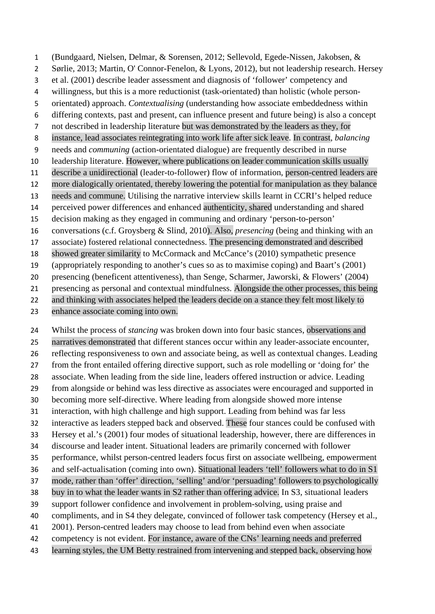(Bundgaard, Nielsen, Delmar, & Sorensen, 2012; Sellevold, Egede-Nissen, Jakobsen, & Sørlie, 2013; Martin, O' Connor-Fenelon, & Lyons, 2012), but not leadership research. Hersey et al. (2001) describe leader assessment and diagnosis of 'follower' competency and willingness, but this is a more reductionist (task-orientated) than holistic (whole person- orientated) approach. *Contextualising* (understanding how associate embeddedness within differing contexts, past and present, can influence present and future being) is also a concept not described in leadership literature but was demonstrated by the leaders as they, for instance, lead associates reintegrating into work life after sick leave. In contrast, *balancing* needs and *communing* (action-orientated dialogue) are frequently described in nurse leadership literature. However, where publications on leader communication skills usually describe a unidirectional (leader-to-follower) flow of information, person-centred leaders are more dialogically orientated, thereby lowering the potential for manipulation as they balance needs and commune. Utilising the narrative interview skills learnt in CCRI's helped reduce perceived power differences and enhanced authenticity, shared understanding and shared decision making as they engaged in communing and ordinary 'person-to-person' conversations (c.f. Groysberg & Slind, 2010). Also, *presencing* (being and thinking with an associate) fostered relational connectedness. The presencing demonstrated and described showed greater similarity to McCormack and McCance's (2010) sympathetic presence (appropriately responding to another's cues so as to maximise coping) and Baart's (2001) presencing (beneficent attentiveness), than Senge, Scharmer, Jaworski, & Flowers' (2004) presencing as personal and contextual mindfulness. Alongside the other processes, this being 22 and thinking with associates helped the leaders decide on a stance they felt most likely to

enhance associate coming into own.

 Whilst the process of *stancing* was broken down into four basic stances, observations and narratives demonstrated that different stances occur within any leader-associate encounter, reflecting responsiveness to own and associate being, as well as contextual changes. Leading from the front entailed offering directive support, such as role modelling or 'doing for' the associate. When leading from the side line, leaders offered instruction or advice. Leading from alongside or behind was less directive as associates were encouraged and supported in becoming more self-directive. Where leading from alongside showed more intense interaction, with high challenge and high support. Leading from behind was far less interactive as leaders stepped back and observed. These four stances could be confused with Hersey et al.'s (2001) four modes of situational leadership, however, there are differences in discourse and leader intent. Situational leaders are primarily concerned with follower performance, whilst person-centred leaders focus first on associate wellbeing, empowerment and self-actualisation (coming into own). Situational leaders 'tell' followers what to do in S1 mode, rather than 'offer' direction, 'selling' and/or 'persuading' followers to psychologically buy in to what the leader wants in S2 rather than offering advice. In S3, situational leaders support follower confidence and involvement in problem-solving, using praise and compliments, and in S4 they delegate, convinced of follower task competency (Hersey et al., 2001). Person-centred leaders may choose to lead from behind even when associate competency is not evident. For instance, aware of the CNs' learning needs and preferred

learning styles, the UM Betty restrained from intervening and stepped back, observing how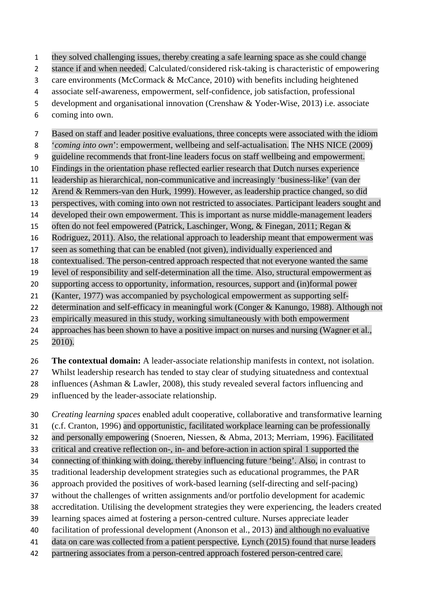they solved challenging issues, thereby creating a safe learning space as she could change

- stance if and when needed. Calculated/considered risk-taking is characteristic of empowering
- care environments (McCormack & McCance, 2010) with benefits including heightened
- associate self-awareness, empowerment, self-confidence, job satisfaction, professional
- development and organisational innovation (Crenshaw & Yoder-Wise, 2013) i.e. associate
- coming into own.

Based on staff and leader positive evaluations, three concepts were associated with the idiom

- '*coming into own*': empowerment, wellbeing and self-actualisation. The NHS NICE (2009)
- guideline recommends that front-line leaders focus on staff wellbeing and empowerment.
- Findings in the orientation phase reflected earlier research that Dutch nurses experience
- leadership as hierarchical, non-communicative and increasingly 'business-like' (van der
- Arend & Remmers-van den Hurk, 1999). However, as leadership practice changed, so did
- perspectives, with coming into own not restricted to associates. Participant leaders sought and
- developed their own empowerment. This is important as nurse middle-management leaders
- often do not feel empowered (Patrick, Laschinger, Wong, & Finegan, 2011; Regan &
- Rodriguez, 2011). Also, the relational approach to leadership meant that empowerment was
- seen as something that can be enabled (not given), individually experienced and
- contextualised. The person-centred approach respected that not everyone wanted the same
- level of responsibility and self-determination all the time. Also, structural empowerment as
- supporting access to opportunity, information, resources, support and (in)formal power
- (Kanter, 1977) was accompanied by psychological empowerment as supporting self-
- determination and self-efficacy in meaningful work (Conger & Kanungo, 1988). Although not
- empirically measured in this study, working simultaneously with both empowerment
- approaches has been shown to have a positive impact on nurses and nursing (Wagner et al.,
- 2010).
- **The contextual domain:** A leader-associate relationship manifests in context, not isolation.
- Whilst leadership research has tended to stay clear of studying situatedness and contextual
- influences (Ashman & Lawler, 2008), this study revealed several factors influencing and
- influenced by the leader-associate relationship.
- *Creating learning spaces* enabled adult cooperative, collaborative and transformative learning
- (c.f. Cranton, 1996) and opportunistic, facilitated workplace learning can be professionally
- and personally empowering (Snoeren, Niessen, & Abma, 2013; Merriam, 1996). Facilitated
- critical and creative reflection on-, in- and before-action in action spiral 1 supported the
- connecting of thinking with doing, thereby influencing future 'being'. Also, in contrast to
- traditional leadership development strategies such as educational programmes, the PAR
- approach provided the positives of work-based learning (self-directing and self-pacing)
- without the challenges of written assignments and/or portfolio development for academic
- accreditation. Utilising the development strategies they were experiencing, the leaders created
- learning spaces aimed at fostering a person-centred culture. Nurses appreciate leader
- facilitation of professional development (Anonson et al., 2013) and although no evaluative
- data on care was collected from a patient perspective, Lynch (2015) found that nurse leaders
- partnering associates from a person-centred approach fostered person-centred care.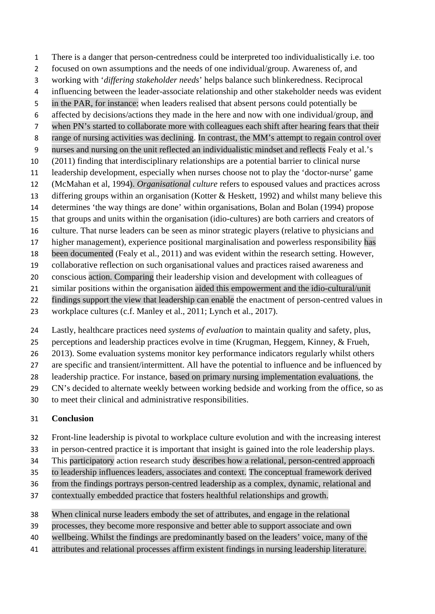There is a danger that person-centredness could be interpreted too individualistically i.e. too focused on own assumptions and the needs of one individual/group. Awareness of, and working with '*differing stakeholder needs*' helps balance such blinkeredness. Reciprocal influencing between the leader-associate relationship and other stakeholder needs was evident in the PAR, for instance: when leaders realised that absent persons could potentially be affected by decisions/actions they made in the here and now with one individual/group, and when PN's started to collaborate more with colleagues each shift after hearing fears that their range of nursing activities was declining. In contrast, the MM's attempt to regain control over nurses and nursing on the unit reflected an individualistic mindset and reflects Fealy et al.'s (2011) finding that interdisciplinary relationships are a potential barrier to clinical nurse leadership development, especially when nurses choose not to play the 'doctor-nurse' game (McMahan et al, 1994). *Organisational culture* refers to espoused values and practices across differing groups within an organisation (Kotter & Heskett, 1992) and whilst many believe this determines 'the way things are done' within organisations, Bolan and Bolan (1994) propose that groups and units within the organisation (idio-cultures) are both carriers and creators of culture. That nurse leaders can be seen as minor strategic players (relative to physicians and higher management), experience positional marginalisation and powerless responsibility has been documented (Fealy et al., 2011) and was evident within the research setting. However, collaborative reflection on such organisational values and practices raised awareness and conscious action. Comparing their leadership vision and development with colleagues of similar positions within the organisation aided this empowerment and the idio-cultural/unit findings support the view that leadership can enable the enactment of person-centred values in

- workplace cultures (c.f. Manley et al., 2011; Lynch et al., 2017).
- Lastly, healthcare practices need *systems of evaluation* to maintain quality and safety, plus,
- perceptions and leadership practices evolve in time (Krugman, Heggem, Kinney, & Frueh,
- 2013). Some evaluation systems monitor key performance indicators regularly whilst others
- are specific and transient/intermittent. All have the potential to influence and be influenced by
- leadership practice. For instance, based on primary nursing implementation evaluations, the
- CN's decided to alternate weekly between working bedside and working from the office, so as
- to meet their clinical and administrative responsibilities.

## **Conclusion**

- Front-line leadership is pivotal to workplace culture evolution and with the increasing interest
- in person-centred practice it is important that insight is gained into the role leadership plays.
- This participatory action research study describes how a relational, person-centred approach
- to leadership influences leaders, associates and context. The conceptual framework derived
- from the findings portrays person-centred leadership as a complex, dynamic, relational and
- contextually embedded practice that fosters healthful relationships and growth.
- When clinical nurse leaders embody the set of attributes, and engage in the relational
- processes, they become more responsive and better able to support associate and own
- wellbeing. Whilst the findings are predominantly based on the leaders' voice, many of the
- attributes and relational processes affirm existent findings in nursing leadership literature.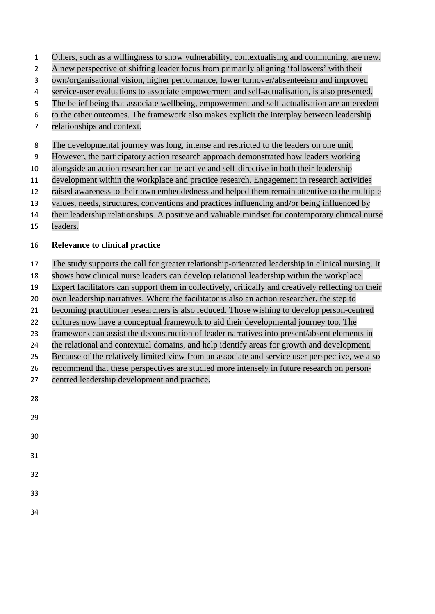- Others, such as a willingness to show vulnerability, contextualising and communing, are new.
- A new perspective of shifting leader focus from primarily aligning 'followers' with their
- own/organisational vision, higher performance, lower turnover/absenteeism and improved
- service-user evaluations to associate empowerment and self-actualisation, is also presented.
- The belief being that associate wellbeing, empowerment and self-actualisation are antecedent
- to the other outcomes. The framework also makes explicit the interplay between leadership
- relationships and context.
- The developmental journey was long, intense and restricted to the leaders on one unit.
- However, the participatory action research approach demonstrated how leaders working
- alongside an action researcher can be active and self-directive in both their leadership
- development within the workplace and practice research. Engagement in research activities
- raised awareness to their own embeddedness and helped them remain attentive to the multiple
- values, needs, structures, conventions and practices influencing and/or being influenced by
- their leadership relationships. A positive and valuable mindset for contemporary clinical nurse
- leaders.

# **Relevance to clinical practice**

- The study supports the call for greater relationship-orientated leadership in clinical nursing. It
- shows how clinical nurse leaders can develop relational leadership within the workplace.
- Expert facilitators can support them in collectively, critically and creatively reflecting on their
- own leadership narratives. Where the facilitator is also an action researcher, the step to
- becoming practitioner researchers is also reduced. Those wishing to develop person-centred
- cultures now have a conceptual framework to aid their developmental journey too. The
- framework can assist the deconstruction of leader narratives into present/absent elements in
- the relational and contextual domains, and help identify areas for growth and development.
- Because of the relatively limited view from an associate and service user perspective, we also
- recommend that these perspectives are studied more intensely in future research on person-
- centred leadership development and practice.
- 
- 
- 
- 
- 
- 
-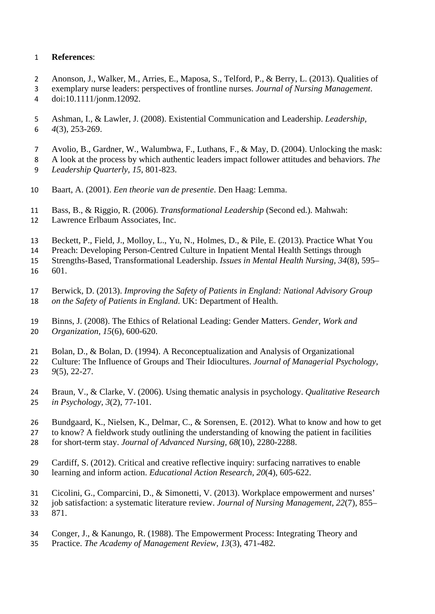#### **References**:

- Anonson, J., Walker, M., Arries, E., Maposa, S., Telford, P., & Berry, L. (2013). Qualities of
- exemplary nurse leaders: perspectives of frontline nurses. *Journal of Nursing Management*. doi:10.1111/jonm.12092.
- Ashman, I., & Lawler, J. (2008). Existential Communication and Leadership. *Leadership, 4*(3), 253-269.
- Avolio, B., Gardner, W., Walumbwa, F., Luthans, F., & May, D. (2004). Unlocking the mask:
- A look at the process by which authentic leaders impact follower attitudes and behaviors. *The*
- *Leadership Quarterly, 15*, 801-823.
- Baart, A. (2001). *Een theorie van de presentie*. Den Haag: Lemma.
- Bass, B., & Riggio, R. (2006). *Transformational Leadership* (Second ed.). Mahwah:
- Lawrence Erlbaum Associates, Inc.
- Beckett, P., Field, J., Molloy, L., Yu, N., Holmes, D., & Pile, E. (2013). Practice What You
- Preach: Developing Person-Centred Culture in Inpatient Mental Health Settings through
- Strengths-Based, Transformational Leadership. *Issues in Mental Health Nursing, 34*(8), 595– 601.
- Berwick, D. (2013). *Improving the Safety of Patients in England: National Advisory Group on the Safety of Patients in England*. UK: Department of Health.
- Binns, J. (2008). The Ethics of Relational Leading: Gender Matters. *Gender, Work and Organization, 15*(6), 600-620.
- Bolan, D., & Bolan, D. (1994). A Reconceptualization and Analysis of Organizational
- Culture: The Influence of Groups and Their Idiocultures. *Journal of Managerial Psychology, 9*(5), 22-27.
- Braun, V., & Clarke, V. (2006). Using thematic analysis in psychology. *Qualitative Research in Psychology, 3*(2), 77-101.
- Bundgaard, K., Nielsen, K., Delmar, C., & Sorensen, E. (2012). What to know and how to get
- to know? A fieldwork study outlining the understanding of knowing the patient in facilities
- for short-term stay. *Journal of Advanced Nursing, 68*(10), 2280-2288.
- Cardiff, S. (2012). Critical and creative reflective inquiry: surfacing narratives to enable learning and inform action. *Educational Action Research, 20*(4), 605-622.
- Cicolini, G., Comparcini, D., & Simonetti, V. (2013). Workplace empowerment and nurses'
- job satisfaction: a systematic literature review. *Journal of Nursing Management, 22*(7), 855–
- 871.
- Conger, J., & Kanungo, R. (1988). The Empowerment Process: Integrating Theory and
- Practice. *The Academy of Management Review, 13*(3), 471-482.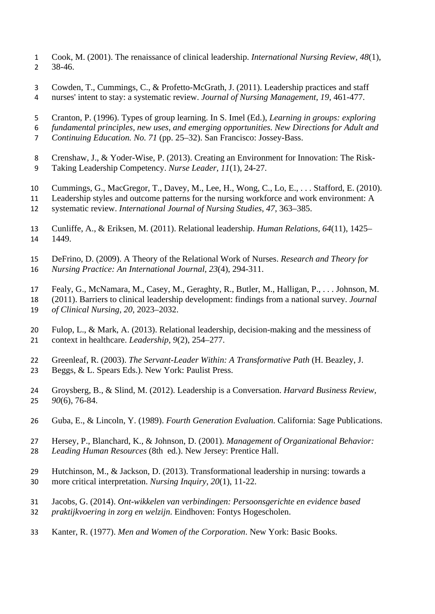- Cook, M. (2001). The renaissance of clinical leadership. *International Nursing Review, 48*(1), 38-46.
- Cowden, T., Cummings, C., & Profetto-McGrath, J. (2011). Leadership practices and staff
- nurses' intent to stay: a systematic review. *Journal of Nursing Management, 19*, 461-477.
- Cranton, P. (1996). Types of group learning. In S. Imel (Ed.), *Learning in groups: exploring*
- *fundamental principles, new uses, and emerging opportunities. New Directions for Adult and*
- *Continuing Education. No. 71* (pp. 25–32). San Francisco: Jossey-Bass.
- Crenshaw, J., & Yoder-Wise, P. (2013). Creating an Environment for Innovation: The Risk-Taking Leadership Competency. *Nurse Leader, 11*(1), 24-27.
- Cummings, G., MacGregor, T., Davey, M., Lee, H., Wong, C., Lo, E., . . . Stafford, E. (2010).
- Leadership styles and outcome patterns for the nursing workforce and work environment: A
- systematic review. *International Journal of Nursing Studies, 47*, 363–385.
- Cunliffe, A., & Eriksen, M. (2011). Relational leadership. *Human Relations, 64*(11), 1425– 1449.
- DeFrino, D. (2009). A Theory of the Relational Work of Nurses. *Research and Theory for Nursing Practice: An International Journal, 23*(4), 294-311.
- Fealy, G., McNamara, M., Casey, M., Geraghty, R., Butler, M., Halligan, P., . . . Johnson, M.
- (2011). Barriers to clinical leadership development: findings from a national survey. *Journal*
- *of Clinical Nursing, 20*, 2023–2032.
- Fulop, L., & Mark, A. (2013). Relational leadership, decision-making and the messiness of context in healthcare. *Leadership, 9*(2), 254–277.
- Greenleaf, R. (2003). *The Servant-Leader Within: A Transformative Path* (H. Beazley, J.
- Beggs, & L. Spears Eds.). New York: Paulist Press.
- Groysberg, B., & Slind, M. (2012). Leadership is a Conversation. *Harvard Business Review, 90*(6), 76-84.
- Guba, E., & Lincoln, Y. (1989). *Fourth Generation Evaluation*. California: Sage Publications.
- Hersey, P., Blanchard, K., & Johnson, D. (2001). *Management of Organizational Behavior: Leading Human Resources* (8th ed.). New Jersey: Prentice Hall.
- Hutchinson, M., & Jackson, D. (2013). Transformational leadership in nursing: towards a more critical interpretation. *Nursing Inquiry, 20*(1), 11-22.
- Jacobs, G. (2014). *Ont-wikkelen van verbindingen: Persoonsgerichte en evidence based*
- *praktijkvoering in zorg en welzijn*. Eindhoven: Fontys Hogescholen.
- Kanter, R. (1977). *Men and Women of the Corporation*. New York: Basic Books.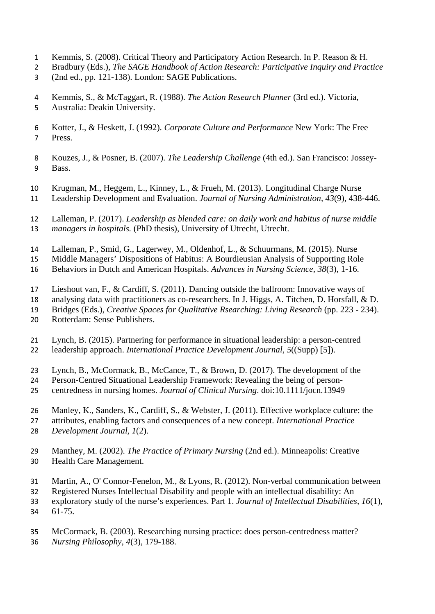- Kemmis, S. (2008). Critical Theory and Participatory Action Research. In P. Reason & H.
- Bradbury (Eds.), *The SAGE Handbook of Action Research: Participative Inquiry and Practice*
- (2nd ed., pp. 121-138). London: SAGE Publications.
- Kemmis, S., & McTaggart, R. (1988). *The Action Research Planner* (3rd ed.). Victoria,
- Australia: Deakin University.
- Kotter, J., & Heskett, J. (1992). *Corporate Culture and Performance* New York: The Free Press.
- Kouzes, J., & Posner, B. (2007). *The Leadership Challenge* (4th ed.). San Francisco: Jossey-Bass.
- Krugman, M., Heggem, L., Kinney, L., & Frueh, M. (2013). Longitudinal Charge Nurse
- Leadership Development and Evaluation. *Journal of Nursing Administration, 43*(9), 438-446.
- Lalleman, P. (2017). *Leadership as blended care: on daily work and habitus of nurse middle managers in hospitals.* (PhD thesis), University of Utrecht, Utrecht.
- Lalleman, P., Smid, G., Lagerwey, M., Oldenhof, L., & Schuurmans, M. (2015). Nurse
- Middle Managers' Dispositions of Habitus: A Bourdieusian Analysis of Supporting Role
- Behaviors in Dutch and American Hospitals. *Advances in Nursing Science, 38*(3), 1-16.
- Lieshout van, F., & Cardiff, S. (2011). Dancing outside the ballroom: Innovative ways of
- analysing data with practitioners as co-researchers. In J. Higgs, A. Titchen, D. Horsfall, & D.
- Bridges (Eds.), *Creative Spaces for Qualitative Rsearching: Living Research* (pp. 223 234).
- Rotterdam: Sense Publishers.
- Lynch, B. (2015). Partnering for performance in situational leadership: a person-centred leadership approach. *International Practice Development Journal, 5*((Supp) [5]).
- Lynch, B., McCormack, B., McCance, T., & Brown, D. (2017). The development of the
- Person-Centred Situational Leadership Framework: Revealing the being of person-
- centredness in nursing homes. *Journal of Clinical Nursing*. doi:10.1111/jocn.13949
- 26 Manley, K., Sanders, K., Cardiff, S., & Webster, J. (2011). Effective workplace culture: the
- attributes, enabling factors and consequences of a new concept. *International Practice Development Journal, 1*(2).
- Manthey, M. (2002). *The Practice of Primary Nursing* (2nd ed.). Minneapolis: Creative Health Care Management.
- Martin, A., O' Connor-Fenelon, M., & Lyons, R. (2012). Non-verbal communication between
- Registered Nurses Intellectual Disability and people with an intellectual disability: An
- exploratory study of the nurse's experiences. Part 1. *Journal of Intellectual Disabilities, 16*(1),
- 61-75.
- McCormack, B. (2003). Researching nursing practice: does person-centredness matter?
- *Nursing Philosophy, 4*(3), 179-188.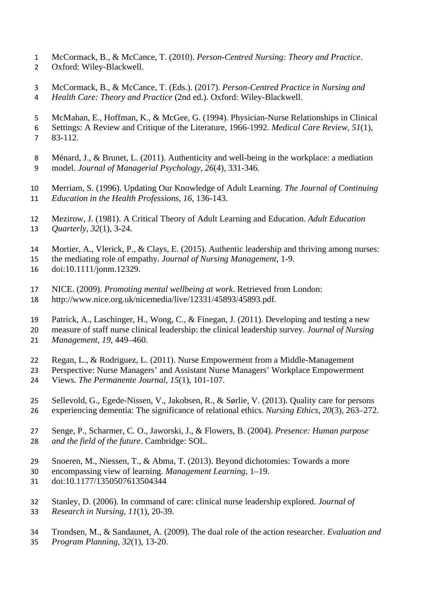- McCormack, B., & McCance, T. (2010). *Person-Centred Nursing: Theory and Practice*.
- Oxford: Wiley-Blackwell.
- McCormack, B., & McCance, T. (Eds.). (2017). *Person-Centred Practice in Nursing and Health Care: Theory and Practice* (2nd ed.). Oxford: Wiley-Blackwell.
- McMahan, E., Hoffman, K., & McGee, G. (1994). Physician-Nurse Relationships in Clinical Settings: A Review and Critique of the Literature, 1966-1992. *Medical Care Review, 51*(1),
- 83-112.
- Ménard, J., & Brunet, L. (2011). Authenticity and well-being in the workplace: a mediation model. *Journal of Managerial Psychology, 26*(4), 331-346.
- Merriam, S. (1996). Updating Our Knowledge of Adult Learning. *The Journal of Continuing Education in the Health Professions, 16*, 136-143.
- Mezirow, J. (1981). A Critical Theory of Adult Learning and Education. *Adult Education Quarterly, 32*(1), 3-24.
- Mortier, A., Vlerick, P., & Clays, E. (2015). Authentic leadership and thriving among nurses:
- the mediating role of empathy. *Journal of Nursing Management*, 1-9.
- doi:10.1111/jonm.12329.
- NICE. (2009). *Promoting mental wellbeing at work*. Retrieved from London:
- http://www.nice.org.uk/nicemedia/live/12331/45893/45893.pdf.
- Patrick, A., Laschinger, H., Wong, C., & Finegan, J. (2011). Developing and testing a new
- measure of staff nurse clinical leadership: the clinical leadership survey. *Journal of Nursing Management, 19*, 449–460.
- Regan, L., & Rodriguez, L. (2011). Nurse Empowerment from a Middle-Management
- Perspective: Nurse Managers' and Assistant Nurse Managers' Workplace Empowerment Views. *The Permanente Journal, 15*(1), 101-107.
- Sellevold, G., Egede-Nissen, V., Jakobsen, R., & Sørlie, V. (2013). Quality care for persons experiencing dementia: The significance of relational ethics. *Nursing Ethics, 20*(3), 263–272.
- Senge, P., Scharmer, C. O., Jaworski, J., & Flowers, B. (2004). *Presence: Human purpose and the field of the future*. Cambridge: SOL.
- Snoeren, M., Niessen, T., & Abma, T. (2013). Beyond dichotomies: Towards a more
- encompassing view of learning. *Management Learning*, 1–19.
- doi:10.1177/1350507613504344
- Stanley, D. (2006). In command of care: clinical nurse leadership explored. *Journal of Research in Nursing, 11*(1), 20-39.
- Trondsen, M., & Sandaunet, A. (2009). The dual role of the action researcher. *Evaluation and*
- *Program Planning, 32*(1), 13-20.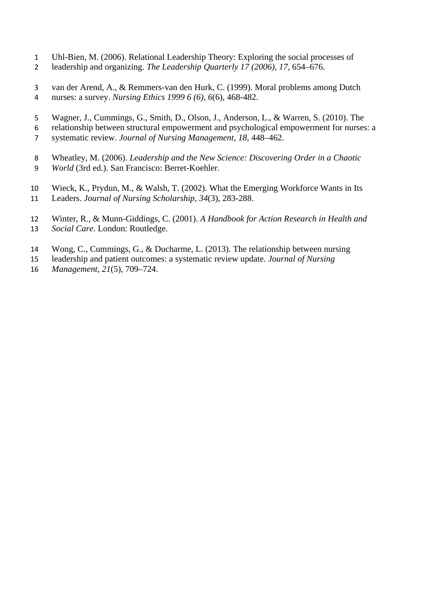- Uhl-Bien, M. (2006). Relational Leadership Theory: Exploring the social processes of
- leadership and organizing. *The Leadership Quarterly 17 (2006), 17*, 654–676.
- van der Arend, A., & Remmers-van den Hurk, C. (1999). Moral problems among Dutch nurses: a survey. *Nursing Ethics 1999 6 (6), 6*(6), 468-482.
- Wagner, J., Cummings, G., Smith, D., Olson, J., Anderson, L., & Warren, S. (2010). The
- relationship between structural empowerment and psychological empowerment for nurses: a
- systematic review. *Journal of Nursing Management, 18*, 448–462.
- Wheatley, M. (2006). *Leadership and the New Science: Discovering Order in a Chaotic World* (3rd ed.). San Francisco: Berret-Koehler.
- Wieck, K., Prydun, M., & Walsh, T. (2002). What the Emerging Workforce Wants in Its
- Leaders. *Journal of Nursing Scholarship, 34*(3), 283-288.
- Winter, R., & Munn-Giddings, C. (2001). *A Handbook for Action Research in Health and*
- *Social Care*. London: Routledge.
- Wong, C., Cummings, G., & Ducharme, L. (2013). The relationship between nursing
- leadership and patient outcomes: a systematic review update. *Journal of Nursing*
- *Management, 21*(5), 709–724.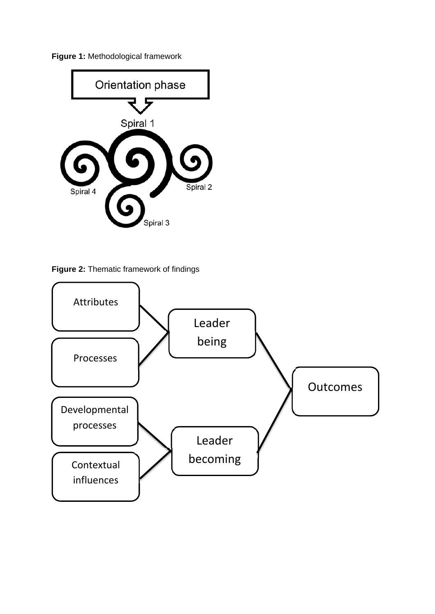

**Figure 2:** Thematic framework of findings



**Figure 1:** Methodological framework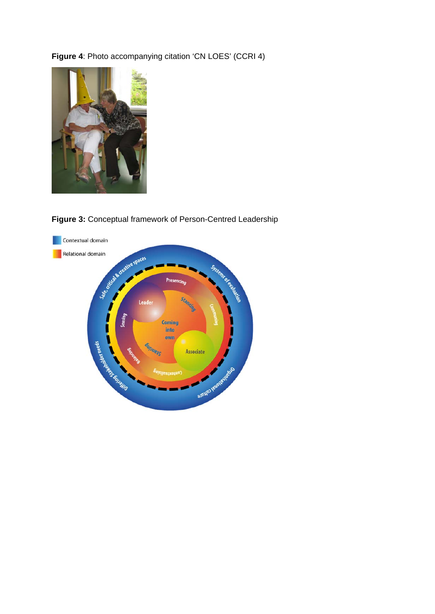**Figure 4**: Photo accompanying citation 'CN LOES' (CCRI 4)





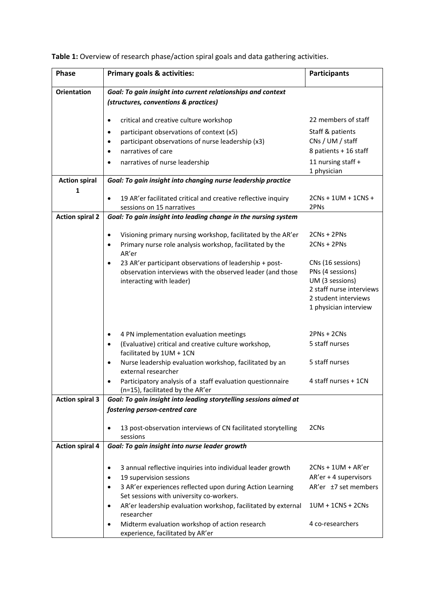| <b>Phase</b>           | <b>Primary goals &amp; activities:</b>                                                                      | <b>Participants</b>                              |
|------------------------|-------------------------------------------------------------------------------------------------------------|--------------------------------------------------|
| <b>Orientation</b>     | Goal: To gain insight into current relationships and context                                                |                                                  |
|                        | (structures, conventions & practices)                                                                       |                                                  |
|                        |                                                                                                             |                                                  |
|                        | critical and creative culture workshop<br>$\bullet$                                                         | 22 members of staff                              |
|                        | participant observations of context (x5)<br>$\bullet$                                                       | Staff & patients                                 |
|                        | participant observations of nurse leadership (x3)<br>$\bullet$                                              | CNs / UM / staff                                 |
|                        | narratives of care<br>$\bullet$                                                                             | 8 patients + 16 staff                            |
|                        | narratives of nurse leadership<br>$\bullet$                                                                 | 11 nursing staff +<br>1 physician                |
| <b>Action spiral</b>   | Goal: To gain insight into changing nurse leadership practice                                               |                                                  |
| 1                      |                                                                                                             |                                                  |
|                        | 19 AR'er facilitated critical and creative reflective inquiry<br>$\bullet$<br>sessions on 15 narratives     | 2CNs + 1UM + 1CNS +<br>2PNs                      |
| <b>Action spiral 2</b> | Goal: To gain insight into leading change in the nursing system                                             |                                                  |
|                        |                                                                                                             |                                                  |
|                        | Visioning primary nursing workshop, facilitated by the AR'er<br>$\bullet$                                   | $2CNs + 2PNs$                                    |
|                        | Primary nurse role analysis workshop, facilitated by the<br>$\bullet$                                       | 2CNs + 2PNs                                      |
|                        | AR'er                                                                                                       |                                                  |
|                        | 23 AR'er participant observations of leadership + post-<br>$\bullet$                                        | CNs (16 sessions)                                |
|                        | observation interviews with the observed leader (and those                                                  | PNs (4 sessions)                                 |
|                        | interacting with leader)                                                                                    | UM (3 sessions)                                  |
|                        |                                                                                                             | 2 staff nurse interviews<br>2 student interviews |
|                        |                                                                                                             | 1 physician interview                            |
|                        |                                                                                                             |                                                  |
|                        | 4 PN implementation evaluation meetings<br>$\bullet$                                                        | $2PNs + 2CNs$                                    |
|                        | (Evaluative) critical and creative culture workshop,<br>$\bullet$                                           | 5 staff nurses                                   |
|                        | facilitated by 1UM + 1CN                                                                                    |                                                  |
|                        | Nurse leadership evaluation workshop, facilitated by an<br>$\bullet$                                        | 5 staff nurses                                   |
|                        | external researcher                                                                                         |                                                  |
|                        | Participatory analysis of a staff evaluation questionnaire<br>$\bullet$<br>(n=15), facilitated by the AR'er | 4 staff nurses + 1CN                             |
| <b>Action spiral 3</b> | Goal: To gain insight into leading storytelling sessions aimed at                                           |                                                  |
|                        | fostering person-centred care                                                                               |                                                  |
|                        |                                                                                                             |                                                  |
|                        | 13 post-observation interviews of CN facilitated storytelling<br>sessions                                   | 2CNs                                             |
| <b>Action spiral 4</b> | Goal: To gain insight into nurse leader growth                                                              |                                                  |
|                        |                                                                                                             |                                                  |
|                        | 3 annual reflective inquiries into individual leader growth                                                 | $2CNs + 1UM + AR'er$                             |
|                        | 19 supervision sessions<br>$\bullet$                                                                        | AR'er + 4 supervisors                            |
|                        | 3 AR'er experiences reflected upon during Action Learning<br>$\bullet$                                      | AR'er ±7 set members                             |
|                        | Set sessions with university co-workers.                                                                    |                                                  |
|                        | AR'er leadership evaluation workshop, facilitated by external<br>$\bullet$<br>researcher                    | $1UM + 1CNS + 2CNs$                              |
|                        | Midterm evaluation workshop of action research<br>٠                                                         | 4 co-researchers                                 |
|                        | experience, facilitated by AR'er                                                                            |                                                  |

**Table 1:** Overview of research phase/action spiral goals and data gathering activities.